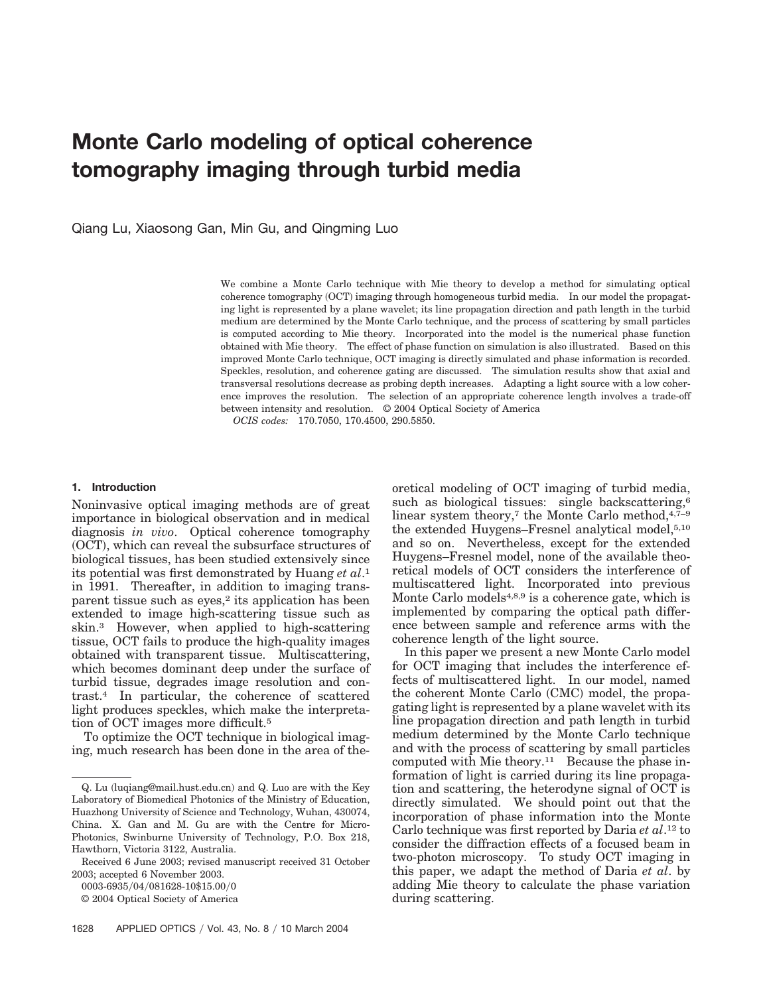# **Monte Carlo modeling of optical coherence tomography imaging through turbid media**

Qiang Lu, Xiaosong Gan, Min Gu, and Qingming Luo

We combine a Monte Carlo technique with Mie theory to develop a method for simulating optical coherence tomography (OCT) imaging through homogeneous turbid media. In our model the propagating light is represented by a plane wavelet; its line propagation direction and path length in the turbid medium are determined by the Monte Carlo technique, and the process of scattering by small particles is computed according to Mie theory. Incorporated into the model is the numerical phase function obtained with Mie theory. The effect of phase function on simulation is also illustrated. Based on this improved Monte Carlo technique, OCT imaging is directly simulated and phase information is recorded. Speckles, resolution, and coherence gating are discussed. The simulation results show that axial and transversal resolutions decrease as probing depth increases. Adapting a light source with a low coherence improves the resolution. The selection of an appropriate coherence length involves a trade-off between intensity and resolution. © 2004 Optical Society of America

*OCIS codes:* 170.7050, 170.4500, 290.5850.

#### **1. Introduction**

Noninvasive optical imaging methods are of great importance in biological observation and in medical diagnosis *in vivo*. Optical coherence tomography (OCT), which can reveal the subsurface structures of biological tissues, has been studied extensively since its potential was first demonstrated by Huang *et al*.1 in 1991. Thereafter, in addition to imaging transparent tissue such as eyes,<sup>2</sup> its application has been extended to image high-scattering tissue such as skin.3 However, when applied to high-scattering tissue, OCT fails to produce the high-quality images obtained with transparent tissue. Multiscattering, which becomes dominant deep under the surface of turbid tissue, degrades image resolution and contrast.4 In particular, the coherence of scattered light produces speckles, which make the interpretation of OCT images more difficult.5

To optimize the OCT technique in biological imaging, much research has been done in the area of the-

0003-6935/04/081628-10\$15.00/0

oretical modeling of OCT imaging of turbid media, such as biological tissues: single backscattering,<sup>6</sup> linear system theory,<sup>7</sup> the Monte Carlo method, $4,7-9$ the extended Huygens–Fresnel analytical model,5,10 and so on. Nevertheless, except for the extended Huygens–Fresnel model, none of the available theoretical models of OCT considers the interference of multiscattered light. Incorporated into previous Monte Carlo models<sup>4,8,9</sup> is a coherence gate, which is implemented by comparing the optical path difference between sample and reference arms with the coherence length of the light source.

In this paper we present a new Monte Carlo model for OCT imaging that includes the interference effects of multiscattered light. In our model, named the coherent Monte Carlo (CMC) model, the propagating light is represented by a plane wavelet with its line propagation direction and path length in turbid medium determined by the Monte Carlo technique and with the process of scattering by small particles computed with Mie theory.<sup>11</sup> Because the phase information of light is carried during its line propagation and scattering, the heterodyne signal of OCT is directly simulated. We should point out that the incorporation of phase information into the Monte Carlo technique was first reported by Daria *et al*.12 to consider the diffraction effects of a focused beam in two-photon microscopy. To study OCT imaging in this paper, we adapt the method of Daria *et al*. by adding Mie theory to calculate the phase variation during scattering.

Q. Lu (luqiang@mail.hust.edu.cn) and Q. Luo are with the Key Laboratory of Biomedical Photonics of the Ministry of Education, Huazhong University of Science and Technology, Wuhan, 430074, China. X. Gan and M. Gu are with the Centre for Micro-Photonics, Swinburne University of Technology, P.O. Box 218, Hawthorn, Victoria 3122, Australia.

Received 6 June 2003; revised manuscript received 31 October 2003; accepted 6 November 2003.

<sup>© 2004</sup> Optical Society of America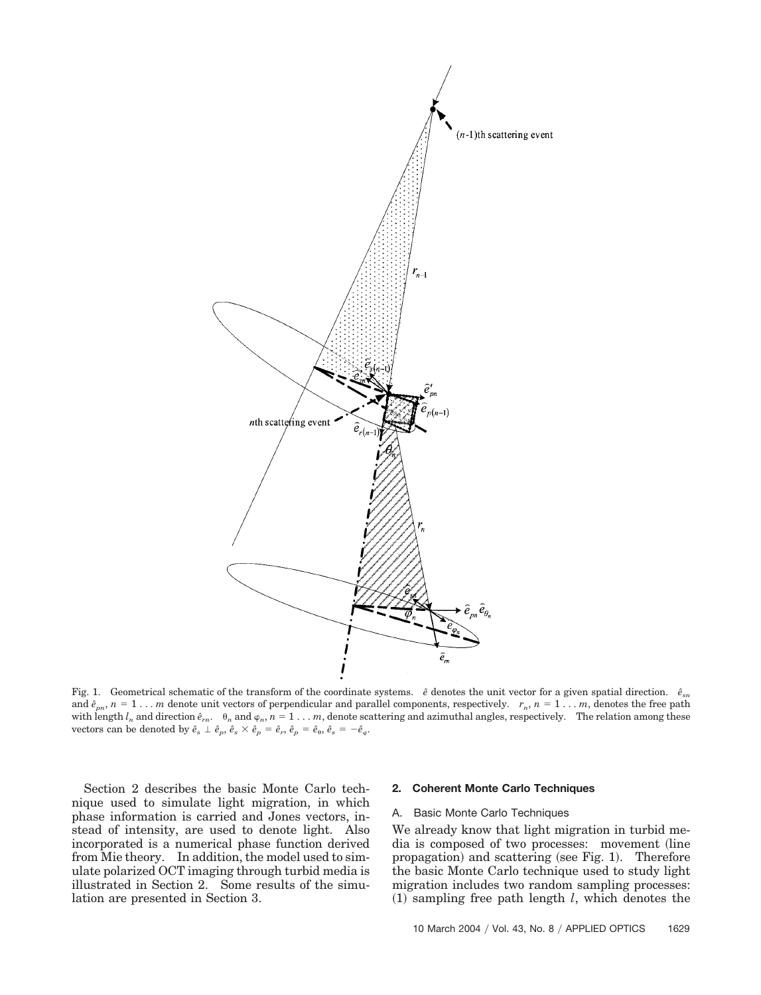

Fig. 1. Geometrical schematic of the transform of the coordinate systems.  $\hat{e}$  denotes the unit vector for a given spatial direction.  $\hat{e}_{sn}$ and  $\hat{e}_{pn}$ ,  $n = 1...m$  denote unit vectors of perpendicular and parallel components, respectively.  $r_n$ ,  $n = 1...m$ , denotes the free path with length  $l_n$  and direction  $\hat{e}_{rn}$ .  $\theta_n$  and  $\varphi_n$ ,  $n=1 \ldots m$ , denote scattering and azimuthal angles, respectively. The relation among these vectors can be denoted by  $\hat{e}_s \perp \hat{e}_p$ ,  $\hat{e}_s \times \hat{e}_p = \hat{e}_r$ ,  $\hat{e}_p = \hat{e}_\theta$ ,  $\hat{e}_s = -\hat{e}_\phi$ .

Section 2 describes the basic Monte Carlo technique used to simulate light migration, in which phase information is carried and Jones vectors, instead of intensity, are used to denote light. Also incorporated is a numerical phase function derived from Mie theory. In addition, the model used to simulate polarized OCT imaging through turbid media is illustrated in Section 2. Some results of the simulation are presented in Section 3.

#### **2. Coherent Monte Carlo Techniques**

#### A. Basic Monte Carlo Techniques

We already know that light migration in turbid media is composed of two processes: movement line propagation) and scattering (see Fig. 1). Therefore the basic Monte Carlo technique used to study light migration includes two random sampling processes:  $(1)$  sampling free path length *l*, which denotes the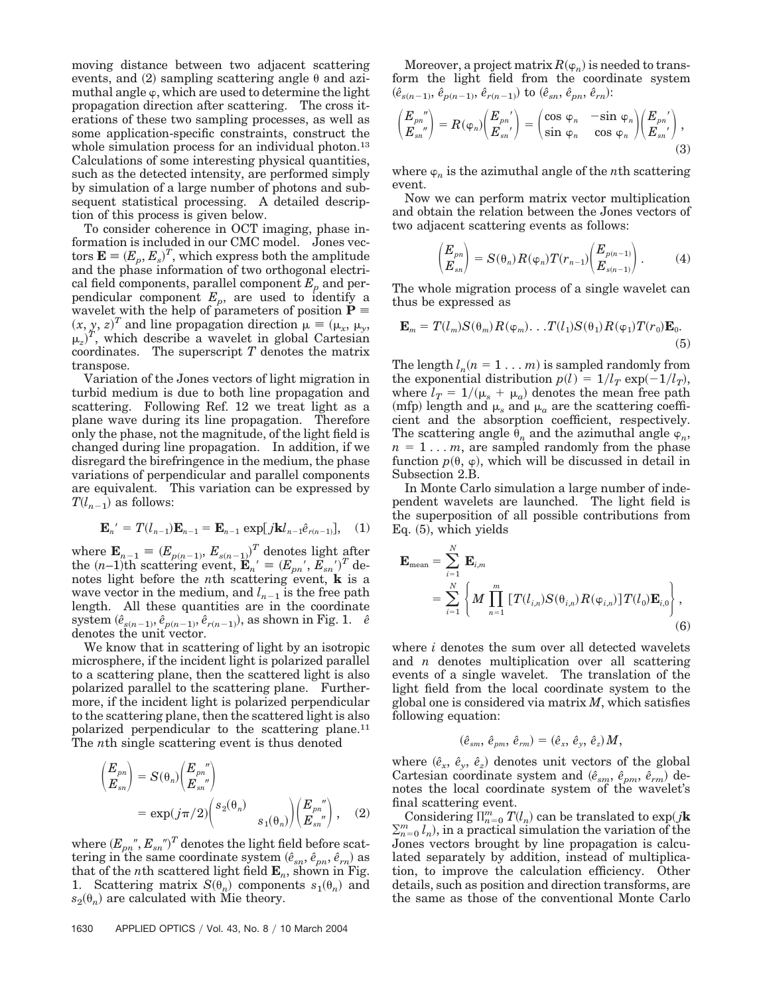moving distance between two adjacent scattering events, and  $(2)$  sampling scattering angle  $\theta$  and azimuthal angle  $\varphi$ , which are used to determine the light propagation direction after scattering. The cross iterations of these two sampling processes, as well as some application-specific constraints, construct the whole simulation process for an individual photon.<sup>13</sup> Calculations of some interesting physical quantities, such as the detected intensity, are performed simply by simulation of a large number of photons and subsequent statistical processing. A detailed description of this process is given below.

To consider coherence in OCT imaging, phase information is included in our CMC model. Jones vectors  $\mathbf{E} \equiv (E_p, E_s)^T$ , which express both the amplitude and the phase information of two orthogonal electrical field components, parallel component  $E_p$  and perpendicular component  $E_p$ , are used to identify a wavelet with the help of parameters of position  $P =$  $(x, y, z)^T$  and line propagation direction  $\mu = (\mu_x, \mu_y, \mu_z)$  $\mu_z$ <sup>T</sup>, which describe a wavelet in global Cartesian coordinates. The superscript *T* denotes the matrix transpose.

Variation of the Jones vectors of light migration in turbid medium is due to both line propagation and scattering. Following Ref. 12 we treat light as a plane wave during its line propagation. Therefore only the phase, not the magnitude, of the light field is changed during line propagation. In addition, if we disregard the birefringence in the medium, the phase variations of perpendicular and parallel components are equivalent. This variation can be expressed by  $T(l_{n-1})$  as follows:

$$
\mathbf{E}_{n'} = T(l_{n-1})\mathbf{E}_{n-1} = \mathbf{E}_{n-1} \exp[j\mathbf{k}l_{n-1}\hat{e}_{r(n-1)}], \quad (1)
$$

where  $\mathbf{E}_{n-1} = (E_{p(n-1)}, E_{s(n-1)})^T$  denotes light after the  $(n-1)$ <sup>th</sup> scattering event,  $\mathbf{E}_n' = (E_{pn'}, E_{sn'})^T$  denotes light before the *n*th scattering event, **k** is a wave vector in the medium, and  $l_{n-1}$  is the free path length. All these quantities are in the coordinate system  $(\hat{e}_{s(n-1)}, \hat{e}_{p(n-1)}, \hat{e}_{r(n-1)})$ , as shown in Fig. 1.  $\hat{e}$ denotes the unit vector.

We know that in scattering of light by an isotropic microsphere, if the incident light is polarized parallel to a scattering plane, then the scattered light is also polarized parallel to the scattering plane. Furthermore, if the incident light is polarized perpendicular to the scattering plane, then the scattered light is also polarized perpendicular to the scattering plane.11 The *n*th single scattering event is thus denoted

$$
\begin{aligned} \left(\frac{E_{pn}}{E_{sn}}\right) &= S(\theta_n) \begin{pmatrix} E_{pn}^{''}\\ E_{sn}^{''} \end{pmatrix} \\ &= \exp(j\pi/2) \begin{pmatrix} s_2(\theta_n) & \\ & s_1(\theta_n) \end{pmatrix} \begin{pmatrix} E_{pn}^{''}\\ E_{sn}^{''} \end{pmatrix}, \end{aligned} \tag{2}
$$

where  $(E_{pn}{}^{''},E_{sn}{}^{''})^T$  denotes the light field before scattering in the same coordinate system  $(\hat{e}_{sn}, \hat{e}_{pn}, \hat{e}_{rn})$  as that of the *n*th scattered light field  $\mathbf{E}_n$ , shown in Fig. 1. Scattering matrix  $S(\theta_n)$  components  $s_1(\theta_n)$  and  $s_2(\theta_n)$  are calculated with Mie theory.

Moreover, a project matrix  $R(\phi_n)$  is needed to transform the light field from the coordinate system  $(\hat{e}_{s(n-1)}, \hat{e}_{p(n-1)}, \hat{e}_{r(n-1)})$  to  $(\hat{e}_{sn}, \hat{e}_{pn}, \hat{e}_{rn})$ :

$$
\begin{pmatrix} E_{pn}^{'} \\ E_{sn}^{'} \end{pmatrix} = R(\varphi_n) \begin{pmatrix} E_{pn'} \\ E_{sn'} \end{pmatrix} = \begin{pmatrix} \cos \varphi_n & -\sin \varphi_n \\ \sin \varphi_n & \cos \varphi_n \end{pmatrix} \begin{pmatrix} E_{pn'} \\ E_{sn'} \end{pmatrix},
$$
\n(3)

where  $\varphi_n$  is the azimuthal angle of the *n*<sup>th</sup> scattering event.

Now we can perform matrix vector multiplication and obtain the relation between the Jones vectors of two adjacent scattering events as follows:

$$
\begin{pmatrix} E_{pn} \\ E_{sn} \end{pmatrix} = S(\theta_n) R(\varphi_n) T(r_{n-1}) \begin{pmatrix} E_{p(n-1)} \\ E_{s(n-1)} \end{pmatrix} . \tag{4}
$$

The whole migration process of a single wavelet can thus be expressed as

$$
\mathbf{E}_m = T(l_m)S(\theta_m)R(\varphi_m)\dots T(l_1)S(\theta_1)R(\varphi_1)T(r_0)\mathbf{E}_0.
$$
\n(5)

The length  $l_n$   $(n = 1 ... m)$  is sampled randomly from the exponential distribution  $p(l) = 1/l_T \exp(-1/l_T)$ , where  $l_T = 1/(\mu_s + \mu_a)$  denotes the mean free path (mfp) length and  $\mu_s$  and  $\mu_a$  are the scattering coefficient and the absorption coefficient, respectively. The scattering angle  $\theta_n$  and the azimuthal angle  $\varphi_n$ ,  $n = 1... m$ , are sampled randomly from the phase function  $p(\theta, \varphi)$ , which will be discussed in detail in Subsection 2.B.

In Monte Carlo simulation a large number of independent wavelets are launched. The light field is the superposition of all possible contributions from Eq. (5), which yields

$$
\mathbf{E}_{\text{mean}} = \sum_{i=1}^{N} \mathbf{E}_{i,m} \n= \sum_{i=1}^{N} \left\{ M \prod_{n=1}^{m} \left[ T(l_{i,n}) S(\theta_{i,n}) R(\varphi_{i,n}) \right] T(l_0) \mathbf{E}_{i,0} \right\},
$$
\n(6)

where *i* denotes the sum over all detected wavelets and *n* denotes multiplication over all scattering events of a single wavelet. The translation of the light field from the local coordinate system to the global one is considered via matrix *M*, which satisfies following equation:

$$
(\hat{e}_{sm},\,\hat{e}_{pm},\,\hat{e}_{rm})=(\hat{e}_x,\,\hat{e}_y,\,\hat{e}_z)M,
$$

where  $(\hat{e}_x, \hat{e}_y, \hat{e}_z)$  denotes unit vectors of the global Cartesian coordinate system and  $(\hat{e}_{sm}, \hat{e}_{pm}, \hat{e}_{rm})$  denotes the local coordinate system of the wavelet's final scattering event.

Considering  $\prod_{n=0}^{m} T(l_n)$  can be translated to exp(*j***k**  $\sum_{n=0}^{m} l_n$ , in a practical simulation the variation of the Jones vectors brought by line propagation is calculated separately by addition, instead of multiplication, to improve the calculation efficiency. Other details, such as position and direction transforms, are the same as those of the conventional Monte Carlo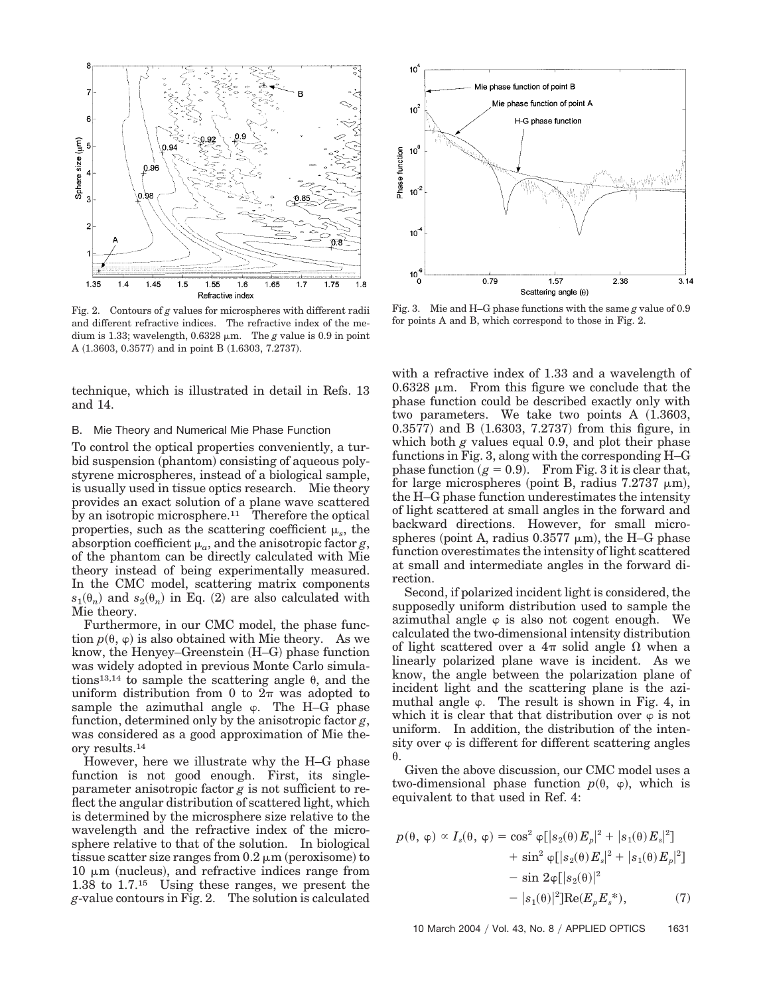

Fig. 2. Contours of *g* values for microspheres with different radii and different refractive indices. The refractive index of the medium is 1.33; wavelength,  $0.6328 \mu m$ . The *g* value is 0.9 in point A  $(1.3603, 0.3577)$  and in point B  $(1.6303, 7.2737)$ .

technique, which is illustrated in detail in Refs. 13 and 14.

# B. Mie Theory and Numerical Mie Phase Function

To control the optical properties conveniently, a turbid suspension (phantom) consisting of aqueous polystyrene microspheres, instead of a biological sample, is usually used in tissue optics research. Mie theory provides an exact solution of a plane wave scattered by an isotropic microsphere.<sup>11</sup> Therefore the optical properties, such as the scattering coefficient  $\mu_s$ , the absorption coefficient  $\mu_a$ , and the anisotropic factor *g*, of the phantom can be directly calculated with Mie theory instead of being experimentally measured. In the CMC model, scattering matrix components  $s_1(\theta_n)$  and  $s_2(\theta_n)$  in Eq. (2) are also calculated with Mie theory.

Furthermore, in our CMC model, the phase function  $p(\theta, \varphi)$  is also obtained with Mie theory. As we know, the Henyey–Greenstein (H–G) phase function was widely adopted in previous Monte Carlo simulations<sup>13,14</sup> to sample the scattering angle  $\theta$ , and the uniform distribution from 0 to  $2\pi$  was adopted to sample the azimuthal angle  $\varphi$ . The H–G phase function, determined only by the anisotropic factor *g*, was considered as a good approximation of Mie theory results.14

However, here we illustrate why the H–G phase function is not good enough. First, its singleparameter anisotropic factor  $g$  is not sufficient to reflect the angular distribution of scattered light, which is determined by the microsphere size relative to the wavelength and the refractive index of the microsphere relative to that of the solution. In biological tissue scatter size ranges from  $0.2 \mu m$  (peroxisome) to  $10 \mu m$  (nucleus), and refractive indices range from 1.38 to 1.7.15 Using these ranges, we present the *g*-value contours in Fig. 2. The solution is calculated



Fig. 3. Mie and H–G phase functions with the same *g* value of 0.9 for points A and B, which correspond to those in Fig. 2.

with a refractive index of 1.33 and a wavelength of  $0.6328 \mu m$ . From this figure we conclude that the phase function could be described exactly only with two parameters. We take two points  $A(1.3603,$  $(0.3577)$  and B  $(1.6303, 7.2737)$  from this figure, in which both *g* values equal 0.9, and plot their phase functions in Fig. 3, along with the corresponding H–G phase function  $(g = 0.9)$ . From Fig. 3 it is clear that, for large microspheres (point B, radius  $7.2737 \mu m$ ), the H–G phase function underestimates the intensity of light scattered at small angles in the forward and backward directions. However, for small microspheres (point A, radius  $0.3577 \mu m$ ), the H-G phase function overestimates the intensity of light scattered at small and intermediate angles in the forward direction.

Second, if polarized incident light is considered, the supposedly uniform distribution used to sample the azimuthal angle  $\varphi$  is also not cogent enough. We calculated the two-dimensional intensity distribution of light scattered over a  $4\pi$  solid angle  $\Omega$  when a linearly polarized plane wave is incident. As we know, the angle between the polarization plane of incident light and the scattering plane is the azimuthal angle  $\varphi$ . The result is shown in Fig. 4, in which it is clear that that distribution over  $\varphi$  is not uniform. In addition, the distribution of the intensity over  $\varphi$  is different for different scattering angles  $\theta$ 

Given the above discussion, our CMC model uses a two-dimensional phase function  $p(\theta, \varphi)$ , which is equivalent to that used in Ref. 4:

$$
p(\theta, \varphi) \propto I_s(\theta, \varphi) = \cos^2 \varphi [|s_2(\theta)E_p|^2 + |s_1(\theta)E_s|^2] + \sin^2 \varphi [|s_2(\theta)E_s|^2 + |s_1(\theta)E_p|^2] - \sin 2\varphi [|s_2(\theta)|^2 - |s_1(\theta)|^2] \text{Re}(E_p E_s^*),
$$
 (7)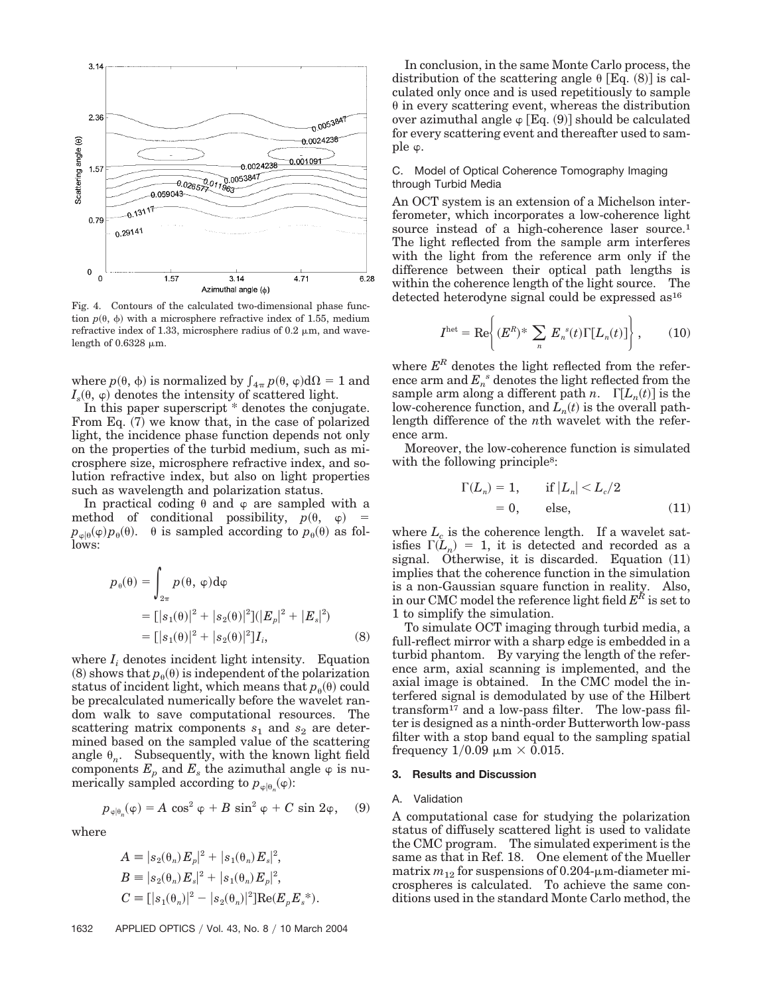

Fig. 4. Contours of the calculated two-dimensional phase function  $p(\theta, \phi)$  with a microsphere refractive index of 1.55, medium refractive index of 1.33, microsphere radius of  $0.2 \mu m$ , and wavelength of 0.6328  $\mu$ m.

where  $p(\theta, \phi)$  is normalized by  $\int_{4\pi} p(\theta, \phi) d\Omega = 1$  and  $I_s(\theta, \varphi)$  denotes the intensity of scattered light.

In this paper superscript \* denotes the conjugate. From Eq. (7) we know that, in the case of polarized light, the incidence phase function depends not only on the properties of the turbid medium, such as microsphere size, microsphere refractive index, and solution refractive index, but also on light properties such as wavelength and polarization status.

In practical coding  $\theta$  and  $\varphi$  are sampled with a method of conditional possibility,  $p(\theta, \varphi)$  =  $p_{\varphi|\theta}(\varphi)p_{\theta}(\theta)$ .  $\theta$  is sampled according to  $p_{\theta}(\theta)$  as follows:

$$
p_{\theta}(\theta) = \int_{2\pi} p(\theta, \varphi) d\varphi
$$
  
=  $[|s_1(\theta)|^2 + |s_2(\theta)|^2] (|E_p|^2 + |E_s|^2)$   
=  $[|s_1(\theta)|^2 + |s_2(\theta)|^2] I_i,$  (8)

where  $I_i$  denotes incident light intensity. Equation (8) shows that  $p_{\theta}(\theta)$  is independent of the polarization status of incident light, which means that  $p_{\theta}(\theta)$  could be precalculated numerically before the wavelet random walk to save computational resources. The scattering matrix components  $s_1$  and  $s_2$  are determined based on the sampled value of the scattering angle  $\theta_n$ . Subsequently, with the known light field components  $E_p$  and  $E_s$  the azimuthal angle  $\varphi$  is numerically sampled according to  $p_{\varphi|\theta_n}(\varphi)$ :

$$
p_{\varphi|\theta_n}(\varphi) = A \cos^2 \varphi + B \sin^2 \varphi + C \sin 2\varphi, \quad (9)
$$

where

$$
A = |s_2(\theta_n) E_p|^2 + |s_1(\theta_n) E_s|^2,
$$
  
\n
$$
B = |s_2(\theta_n) E_s|^2 + |s_1(\theta_n) E_p|^2,
$$
  
\n
$$
C = [|s_1(\theta_n)|^2 - |s_2(\theta_n)|^2] \text{Re}(E_p E_s^*).
$$

In conclusion, in the same Monte Carlo process, the distribution of the scattering angle  $\theta$  [Eq. (8)] is calculated only once and is used repetitiously to sample  $\theta$  in every scattering event, whereas the distribution over azimuthal angle  $\varphi$  [Eq. (9)] should be calculated for every scattering event and thereafter used to sample  $\varphi$ .

# C. Model of Optical Coherence Tomography Imaging through Turbid Media

An OCT system is an extension of a Michelson interferometer, which incorporates a low-coherence light source instead of a high-coherence laser source.<sup>1</sup> The light reflected from the sample arm interferes with the light from the reference arm only if the difference between their optical path lengths is within the coherence length of the light source. The detected heterodyne signal could be expressed as<sup>16</sup>

$$
I^{\text{het}} = \text{Re}\left\{ (E^R)^* \sum_n E_n^s(t) \Gamma[L_n(t)] \right\},\qquad(10)
$$

where  $E^R$  denotes the light reflected from the reference arm and  $E_n^s$  denotes the light reflected from the sample arm along a different path *n*.  $\Gamma[L_n(t)]$  is the low-coherence function, and  $L_n(t)$  is the overall pathlength difference of the *n*th wavelet with the reference arm.

Moreover, the low-coherence function is simulated with the following principle<sup>8</sup>:

$$
\Gamma(L_n) = 1, \quad \text{if } |L_n| < L_c/2
$$
\n
$$
= 0, \quad \text{else,} \quad (11)
$$

where  $L_c$  is the coherence length. If a wavelet satisfies  $\Gamma(L_n) = 1$ , it is detected and recorded as a signal. Otherwise, it is discarded. Equation  $(11)$ implies that the coherence function in the simulation is a non-Gaussian square function in reality. Also, in our CMC model the reference light field  $E^R$  is set to 1 to simplify the simulation.

To simulate OCT imaging through turbid media, a full-reflect mirror with a sharp edge is embedded in a turbid phantom. By varying the length of the reference arm, axial scanning is implemented, and the axial image is obtained. In the CMC model the interfered signal is demodulated by use of the Hilbert transform17 and a low-pass filter. The low-pass filter is designed as a ninth-order Butterworth low-pass filter with a stop band equal to the sampling spatial frequency  $1/0.09 \mu m \times 0.015$ .

# **3. Results and Discussion**

## A. Validation

A computational case for studying the polarization status of diffusely scattered light is used to validate the CMC program. The simulated experiment is the same as that in Ref. 18. One element of the Mueller matrix  $m_{12}$  for suspensions of 0.204- $\mu$ m-diameter microspheres is calculated. To achieve the same conditions used in the standard Monte Carlo method, the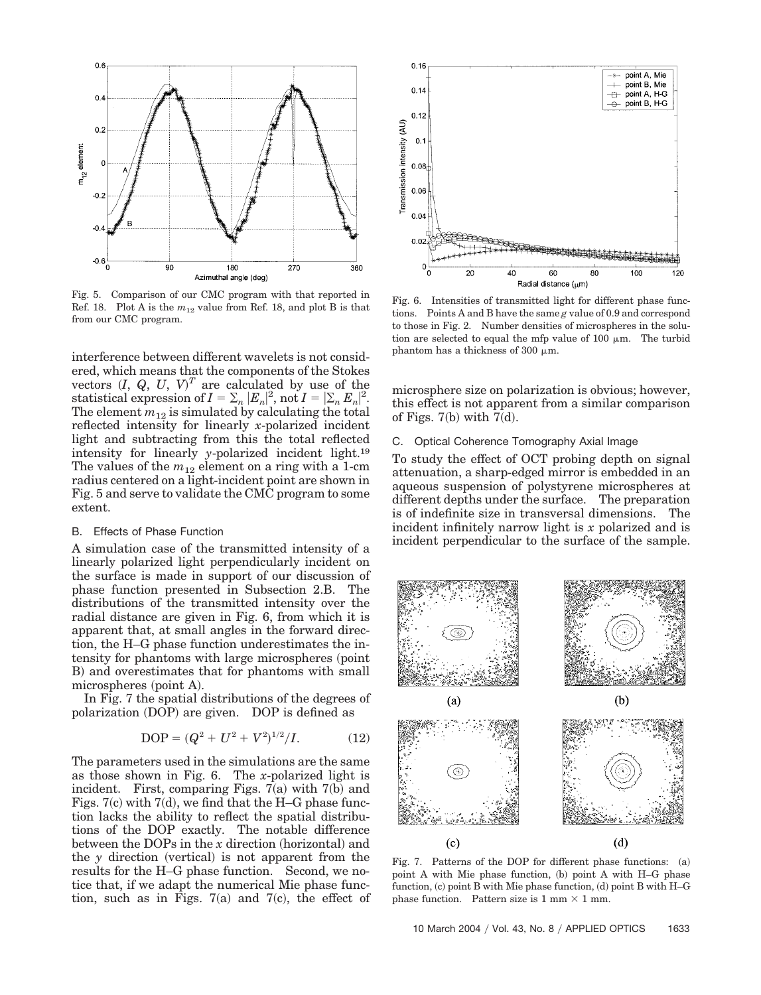

Fig. 5. Comparison of our CMC program with that reported in Ref. 18. Plot A is the *m*<sup>12</sup> value from Ref. 18, and plot B is that from our CMC program.

interference between different wavelets is not considered, which means that the components of the Stokes vectors  $(I, Q, U, V)^T$  are calculated by use of the statistical expression of  $I = \sum_n |E_n|^2$ , not  $I = |\sum_n E_n|^2$ . The element  $m_{12}$  is simulated by calculating the total reflected intensity for linearly *x*-polarized incident light and subtracting from this the total reflected intensity for linearly *y*-polarized incident light.19 The values of the  $m_{12}$  element on a ring with a 1-cm radius centered on a light-incident point are shown in Fig. 5 and serve to validate the CMC program to some extent.

#### B. Effects of Phase Function

A simulation case of the transmitted intensity of a linearly polarized light perpendicularly incident on the surface is made in support of our discussion of phase function presented in Subsection 2.B. The distributions of the transmitted intensity over the radial distance are given in Fig. 6, from which it is apparent that, at small angles in the forward direction, the H–G phase function underestimates the intensity for phantoms with large microspheres (point B) and overestimates that for phantoms with small microspheres (point A).

In Fig. 7 the spatial distributions of the degrees of polarization (DOP) are given. DOP is defined as

$$
DOP = (Q2 + U2 + V2)1/2/I.
$$
 (12)

The parameters used in the simulations are the same as those shown in Fig. 6. The *x*-polarized light is incident. First, comparing Figs.  $7(a)$  with  $7(b)$  and Figs.  $7(c)$  with  $7(d)$ , we find that the H–G phase function lacks the ability to reflect the spatial distributions of the DOP exactly. The notable difference between the DOPs in the *x* direction (horizontal) and the *y* direction (vertical) is not apparent from the results for the H–G phase function. Second, we notice that, if we adapt the numerical Mie phase function, such as in Figs.  $7(a)$  and  $7(c)$ , the effect of



Fig. 6. Intensities of transmitted light for different phase functions. Points A and B have the same *g* value of 0.9 and correspond to those in Fig. 2. Number densities of microspheres in the solution are selected to equal the mfp value of  $100 \mu m$ . The turbid phantom has a thickness of 300  $\mu$ m.

microsphere size on polarization is obvious; however, this effect is not apparent from a similar comparison of Figs.  $7(b)$  with  $7(d)$ .

## C. Optical Coherence Tomography Axial Image

To study the effect of OCT probing depth on signal attenuation, a sharp-edged mirror is embedded in an aqueous suspension of polystyrene microspheres at different depths under the surface. The preparation is of indefinite size in transversal dimensions. The incident infinitely narrow light is *x* polarized and is incident perpendicular to the surface of the sample.



Fig. 7. Patterns of the DOP for different phase functions: (a) point A with Mie phase function, (b) point A with H–G phase function, (c) point B with Mie phase function, (d) point B with H–G phase function. Pattern size is  $1 \text{ mm} \times 1 \text{ mm}$ .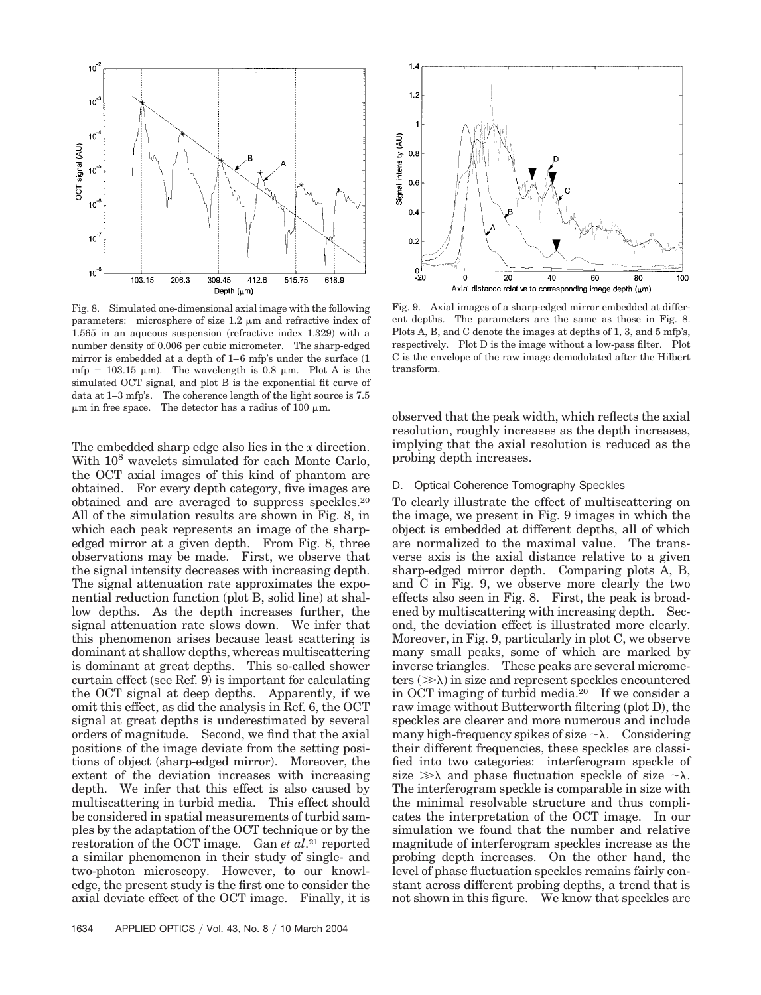

Fig. 8. Simulated one-dimensional axial image with the following parameters: microsphere of size  $1.2 \mu m$  and refractive index of  $1.565$  in an aqueous suspension (refractive index  $1.329$ ) with a number density of 0.006 per cubic micrometer. The sharp-edged mirror is embedded at a depth of  $1-6$  mfp's under the surface  $(1)$ mfp = 103.15  $\mu$ m). The wavelength is 0.8  $\mu$ m. Plot A is the simulated OCT signal, and plot B is the exponential fit curve of data at 1–3 mfp's. The coherence length of the light source is 7.5  $\mu$ m in free space. The detector has a radius of 100  $\mu$ m.

The embedded sharp edge also lies in the *x* direction. With  $10^8$  wavelets simulated for each Monte Carlo, the OCT axial images of this kind of phantom are obtained. For every depth category, five images are obtained and are averaged to suppress speckles.20 All of the simulation results are shown in Fig. 8, in which each peak represents an image of the sharpedged mirror at a given depth. From Fig. 8, three observations may be made. First, we observe that the signal intensity decreases with increasing depth. The signal attenuation rate approximates the exponential reduction function (plot B, solid line) at shallow depths. As the depth increases further, the signal attenuation rate slows down. We infer that this phenomenon arises because least scattering is dominant at shallow depths, whereas multiscattering is dominant at great depths. This so-called shower curtain effect (see Ref. 9) is important for calculating the OCT signal at deep depths. Apparently, if we omit this effect, as did the analysis in Ref. 6, the OCT signal at great depths is underestimated by several orders of magnitude. Second, we find that the axial positions of the image deviate from the setting positions of object (sharp-edged mirror). Moreover, the extent of the deviation increases with increasing depth. We infer that this effect is also caused by multiscattering in turbid media. This effect should be considered in spatial measurements of turbid samples by the adaptation of the OCT technique or by the restoration of the OCT image. Gan *et al*.21 reported a similar phenomenon in their study of single- and two-photon microscopy. However, to our knowledge, the present study is the first one to consider the axial deviate effect of the OCT image. Finally, it is



Fig. 9. Axial images of a sharp-edged mirror embedded at different depths. The parameters are the same as those in Fig. 8. Plots A, B, and C denote the images at depths of 1, 3, and 5 mfp's, respectively. Plot D is the image without a low-pass filter. Plot C is the envelope of the raw image demodulated after the Hilbert transform.

observed that the peak width, which reflects the axial resolution, roughly increases as the depth increases, implying that the axial resolution is reduced as the probing depth increases.

# D. Optical Coherence Tomography Speckles

To clearly illustrate the effect of multiscattering on the image, we present in Fig. 9 images in which the object is embedded at different depths, all of which are normalized to the maximal value. The transverse axis is the axial distance relative to a given sharp-edged mirror depth. Comparing plots A, B, and C in Fig. 9, we observe more clearly the two effects also seen in Fig. 8. First, the peak is broadened by multiscattering with increasing depth. Second, the deviation effect is illustrated more clearly. Moreover, in Fig. 9, particularly in plot C, we observe many small peaks, some of which are marked by inverse triangles. These peaks are several micrometers  $(\gg \lambda)$  in size and represent speckles encountered in OCT imaging of turbid media.20 If we consider a raw image without Butterworth filtering (plot D), the speckles are clearer and more numerous and include many high-frequency spikes of size  $\sim \lambda$ . Considering their different frequencies, these speckles are classified into two categories: interferogram speckle of size  $\gg \lambda$  and phase fluctuation speckle of size  $\sim \lambda$ . The interferogram speckle is comparable in size with the minimal resolvable structure and thus complicates the interpretation of the OCT image. In our simulation we found that the number and relative magnitude of interferogram speckles increase as the probing depth increases. On the other hand, the level of phase fluctuation speckles remains fairly constant across different probing depths, a trend that is not shown in this figure. We know that speckles are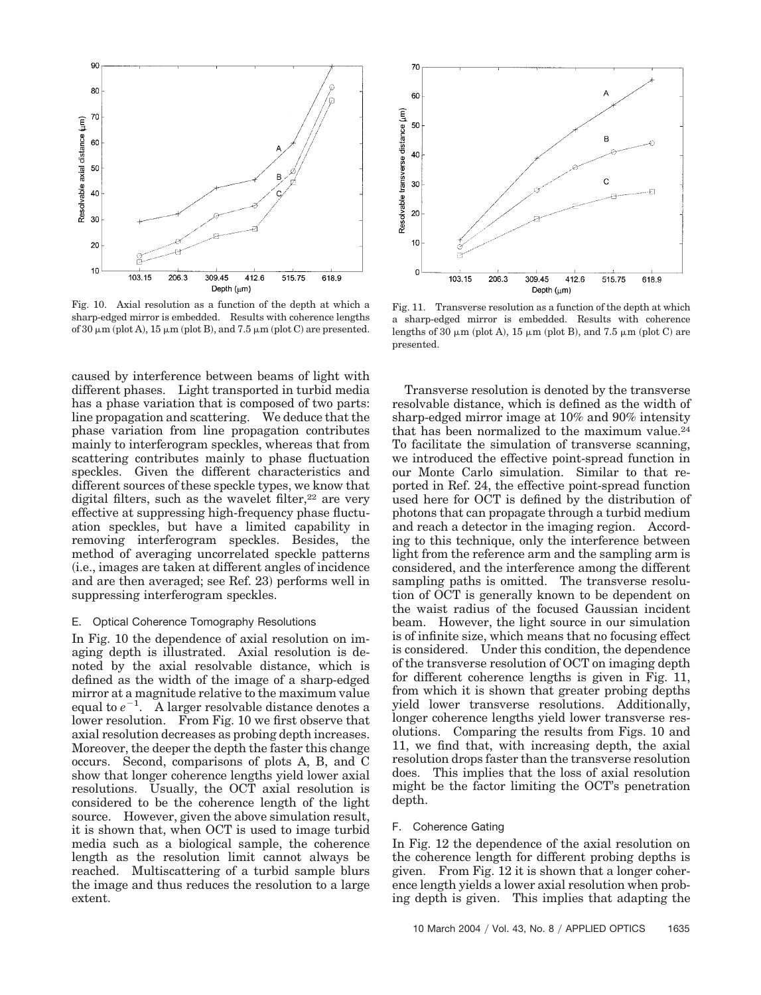

Fig. 10. Axial resolution as a function of the depth at which a sharp-edged mirror is embedded. Results with coherence lengths of 30  $\mu$ m (plot A), 15  $\mu$ m (plot B), and 7.5  $\mu$ m (plot C) are presented.

caused by interference between beams of light with different phases. Light transported in turbid media has a phase variation that is composed of two parts: line propagation and scattering. We deduce that the phase variation from line propagation contributes mainly to interferogram speckles, whereas that from scattering contributes mainly to phase fluctuation speckles. Given the different characteristics and different sources of these speckle types, we know that digital filters, such as the wavelet filter, $22$  are very effective at suppressing high-frequency phase fluctuation speckles, but have a limited capability in removing interferogram speckles. Besides, the method of averaging uncorrelated speckle patterns i.e., images are taken at different angles of incidence and are then averaged; see Ref. 23) performs well in suppressing interferogram speckles.

# E. Optical Coherence Tomography Resolutions

In Fig. 10 the dependence of axial resolution on imaging depth is illustrated. Axial resolution is denoted by the axial resolvable distance, which is defined as the width of the image of a sharp-edged mirror at a magnitude relative to the maximum value equal to  $e^{-1}$ . A larger resolvable distance denotes a lower resolution. From Fig. 10 we first observe that axial resolution decreases as probing depth increases. Moreover, the deeper the depth the faster this change occurs. Second, comparisons of plots A, B, and C show that longer coherence lengths yield lower axial resolutions. Usually, the OCT axial resolution is considered to be the coherence length of the light source. However, given the above simulation result, it is shown that, when OCT is used to image turbid media such as a biological sample, the coherence length as the resolution limit cannot always be reached. Multiscattering of a turbid sample blurs the image and thus reduces the resolution to a large extent.



Fig. 11. Transverse resolution as a function of the depth at which a sharp-edged mirror is embedded. Results with coherence lengths of 30  $\mu$ m (plot A), 15  $\mu$ m (plot B), and 7.5  $\mu$ m (plot C) are presented.

Transverse resolution is denoted by the transverse resolvable distance, which is defined as the width of sharp-edged mirror image at 10% and 90% intensity that has been normalized to the maximum value.24 To facilitate the simulation of transverse scanning, we introduced the effective point-spread function in our Monte Carlo simulation. Similar to that reported in Ref. 24, the effective point-spread function used here for OCT is defined by the distribution of photons that can propagate through a turbid medium and reach a detector in the imaging region. According to this technique, only the interference between light from the reference arm and the sampling arm is considered, and the interference among the different sampling paths is omitted. The transverse resolution of OCT is generally known to be dependent on the waist radius of the focused Gaussian incident beam. However, the light source in our simulation is of infinite size, which means that no focusing effect is considered. Under this condition, the dependence of the transverse resolution of OCT on imaging depth for different coherence lengths is given in Fig. 11, from which it is shown that greater probing depths yield lower transverse resolutions. Additionally, longer coherence lengths yield lower transverse resolutions. Comparing the results from Figs. 10 and 11, we find that, with increasing depth, the axial resolution drops faster than the transverse resolution does. This implies that the loss of axial resolution might be the factor limiting the OCT's penetration depth.

## F. Coherence Gating

In Fig. 12 the dependence of the axial resolution on the coherence length for different probing depths is given. From Fig. 12 it is shown that a longer coherence length yields a lower axial resolution when probing depth is given. This implies that adapting the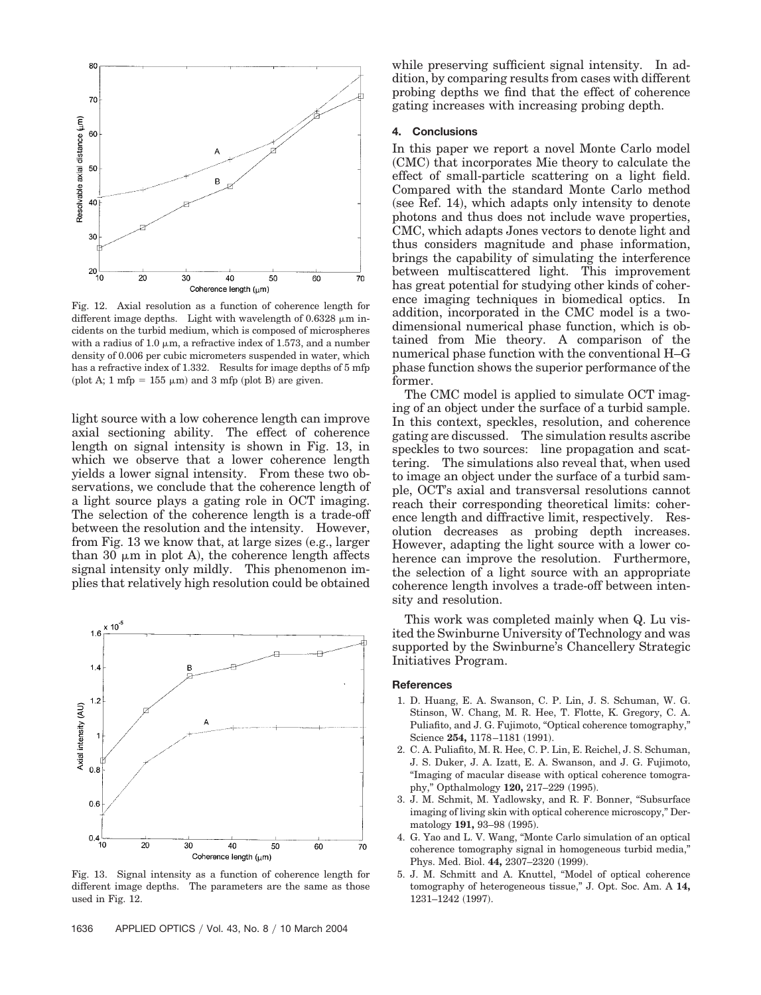

Fig. 12. Axial resolution as a function of coherence length for different image depths. Light with wavelength of  $0.6328 \mu m$  incidents on the turbid medium, which is composed of microspheres with a radius of 1.0  $\mu$ m, a refractive index of 1.573, and a number density of 0.006 per cubic micrometers suspended in water, which has a refractive index of 1.332. Results for image depths of 5 mfp (plot A; 1 mfp =  $155 \mu m$ ) and 3 mfp (plot B) are given.

light source with a low coherence length can improve axial sectioning ability. The effect of coherence length on signal intensity is shown in Fig. 13, in which we observe that a lower coherence length yields a lower signal intensity. From these two observations, we conclude that the coherence length of a light source plays a gating role in OCT imaging. The selection of the coherence length is a trade-off between the resolution and the intensity. However, from Fig. 13 we know that, at large sizes (e.g., larger than 30  $\mu$ m in plot A), the coherence length affects signal intensity only mildly. This phenomenon implies that relatively high resolution could be obtained



Fig. 13. Signal intensity as a function of coherence length for different image depths. The parameters are the same as those used in Fig. 12.

while preserving sufficient signal intensity. In addition, by comparing results from cases with different probing depths we find that the effect of coherence gating increases with increasing probing depth.

# **4. Conclusions**

In this paper we report a novel Monte Carlo model (CMC) that incorporates Mie theory to calculate the effect of small-particle scattering on a light field. Compared with the standard Monte Carlo method (see Ref. 14), which adapts only intensity to denote photons and thus does not include wave properties, CMC, which adapts Jones vectors to denote light and thus considers magnitude and phase information, brings the capability of simulating the interference between multiscattered light. This improvement has great potential for studying other kinds of coherence imaging techniques in biomedical optics. In addition, incorporated in the CMC model is a twodimensional numerical phase function, which is obtained from Mie theory. A comparison of the numerical phase function with the conventional H–G phase function shows the superior performance of the former.

The CMC model is applied to simulate OCT imaging of an object under the surface of a turbid sample. In this context, speckles, resolution, and coherence gating are discussed. The simulation results ascribe speckles to two sources: line propagation and scattering. The simulations also reveal that, when used to image an object under the surface of a turbid sample, OCT's axial and transversal resolutions cannot reach their corresponding theoretical limits: coherence length and diffractive limit, respectively. Resolution decreases as probing depth increases. However, adapting the light source with a lower coherence can improve the resolution. Furthermore, the selection of a light source with an appropriate coherence length involves a trade-off between intensity and resolution.

This work was completed mainly when Q. Lu visited the Swinburne University of Technology and was supported by the Swinburne's Chancellery Strategic Initiatives Program.

## **References**

- 1. D. Huang, E. A. Swanson, C. P. Lin, J. S. Schuman, W. G. Stinson, W. Chang, M. R. Hee, T. Flotte, K. Gregory, C. A. Puliafito, and J. G. Fujimoto, "Optical coherence tomography," Science 254, 1178–1181 (1991).
- 2. C. A. Puliafito, M. R. Hee, C. P. Lin, E. Reichel, J. S. Schuman, J. S. Duker, J. A. Izatt, E. A. Swanson, and J. G. Fujimoto, "Imaging of macular disease with optical coherence tomography," Opthalmology 120, 217-229 (1995).
- 3. J. M. Schmit, M. Yadlowsky, and R. F. Bonner, "Subsurface imaging of living skin with optical coherence microscopy," Dermatology 191, 93-98 (1995).
- 4. G. Yao and L. V. Wang, "Monte Carlo simulation of an optical coherence tomography signal in homogeneous turbid media," Phys. Med. Biol. 44, 2307-2320 (1999).
- 5. J. M. Schmitt and A. Knuttel, "Model of optical coherence tomography of heterogeneous tissue," J. Opt. Soc. Am. A **14,** 1231-1242 (1997).